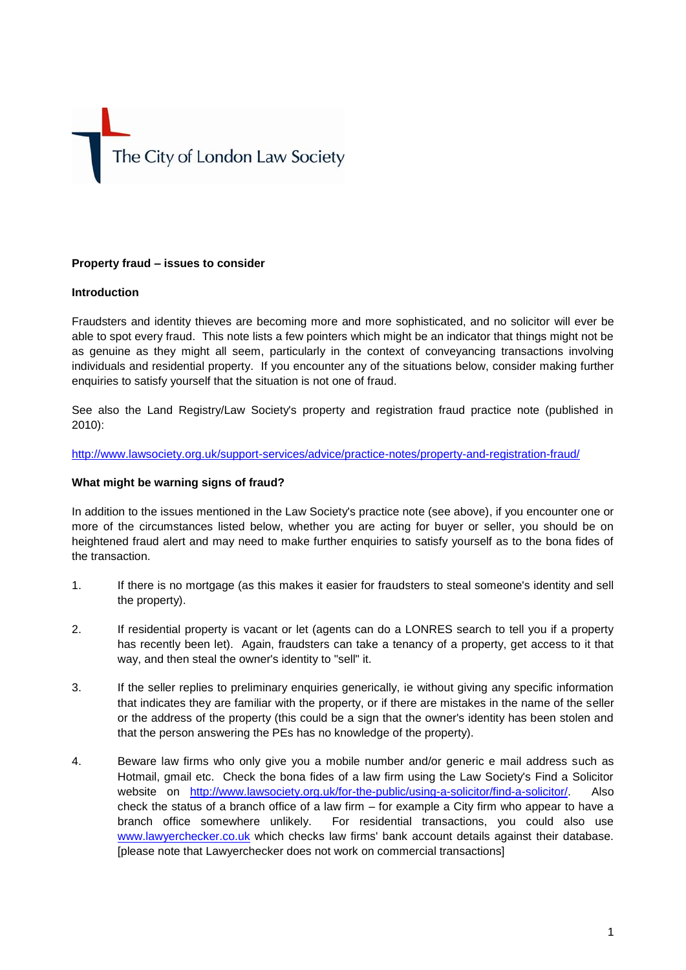# The City of London Law Society

# **Property fraud – issues to consider**

## **Introduction**

Fraudsters and identity thieves are becoming more and more sophisticated, and no solicitor will ever be able to spot every fraud. This note lists a few pointers which might be an indicator that things might not be as genuine as they might all seem, particularly in the context of conveyancing transactions involving individuals and residential property. If you encounter any of the situations below, consider making further enquiries to satisfy yourself that the situation is not one of fraud.

See also the Land Registry/Law Society's property and registration fraud practice note (published in 2010):

#### <http://www.lawsociety.org.uk/support-services/advice/practice-notes/property-and-registration-fraud/>

## **What might be warning signs of fraud?**

In addition to the issues mentioned in the Law Society's practice note (see above), if you encounter one or more of the circumstances listed below, whether you are acting for buyer or seller, you should be on heightened fraud alert and may need to make further enquiries to satisfy yourself as to the bona fides of the transaction.

- 1. If there is no mortgage (as this makes it easier for fraudsters to steal someone's identity and sell the property).
- 2. If residential property is vacant or let (agents can do a LONRES search to tell you if a property has recently been let). Again, fraudsters can take a tenancy of a property, get access to it that way, and then steal the owner's identity to "sell" it.
- 3. If the seller replies to preliminary enquiries generically, ie without giving any specific information that indicates they are familiar with the property, or if there are mistakes in the name of the seller or the address of the property (this could be a sign that the owner's identity has been stolen and that the person answering the PEs has no knowledge of the property).
- 4. Beware law firms who only give you a mobile number and/or generic e mail address such as Hotmail, gmail etc. Check the bona fides of a law firm using the Law Society's Find a Solicitor website on [http://www.lawsociety.org.uk/for-the-public/using-a-solicitor/find-a-solicitor/.](http://www.lawsociety.org.uk/for-the-public/using-a-solicitor/find-a-solicitor/) Also check the status of a branch office of a law firm – for example a City firm who appear to have a branch office somewhere unlikely. For residential transactions, you could also use [www.lawyerchecker.co.uk](http://www.lawyerchecker.co.uk/) which checks law firms' bank account details against their database. [please note that Lawyerchecker does not work on commercial transactions]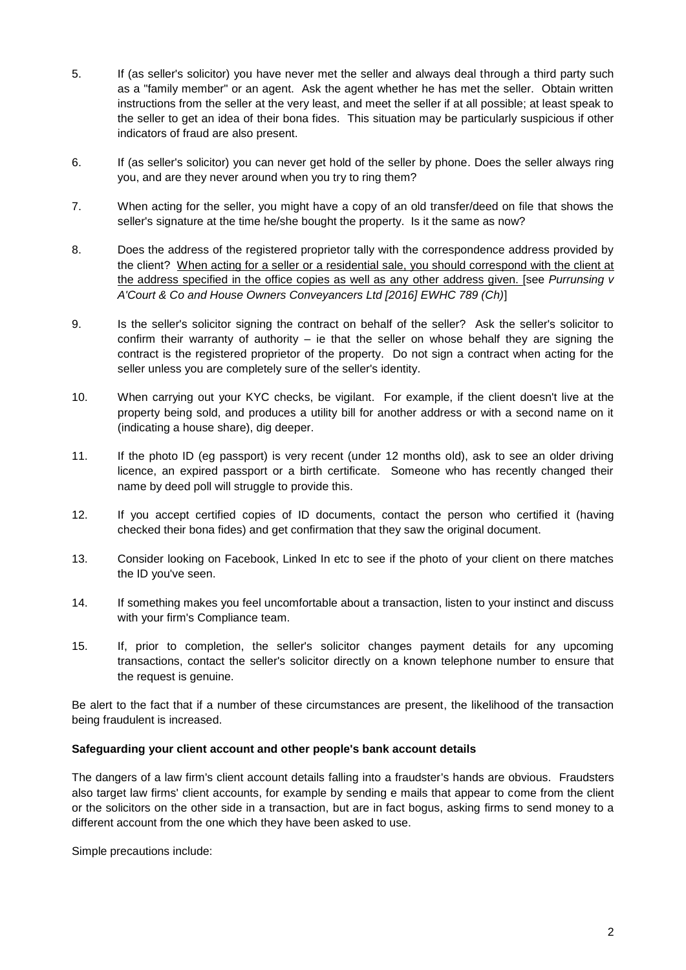- 5. If (as seller's solicitor) you have never met the seller and always deal through a third party such as a "family member" or an agent. Ask the agent whether he has met the seller. Obtain written instructions from the seller at the very least, and meet the seller if at all possible; at least speak to the seller to get an idea of their bona fides. This situation may be particularly suspicious if other indicators of fraud are also present.
- 6. If (as seller's solicitor) you can never get hold of the seller by phone. Does the seller always ring you, and are they never around when you try to ring them?
- 7. When acting for the seller, you might have a copy of an old transfer/deed on file that shows the seller's signature at the time he/she bought the property. Is it the same as now?
- 8. Does the address of the registered proprietor tally with the correspondence address provided by the client? When acting for a seller or a residential sale, you should correspond with the client at the address specified in the office copies as well as any other address given. [see *Purrunsing v A'Court & Co and House Owners Conveyancers Ltd [2016] EWHC 789 (Ch)*]
- 9. Is the seller's solicitor signing the contract on behalf of the seller? Ask the seller's solicitor to confirm their warranty of authority  $-$  ie that the seller on whose behalf they are signing the contract is the registered proprietor of the property. Do not sign a contract when acting for the seller unless you are completely sure of the seller's identity.
- 10. When carrying out your KYC checks, be vigilant. For example, if the client doesn't live at the property being sold, and produces a utility bill for another address or with a second name on it (indicating a house share), dig deeper.
- 11. If the photo ID (eg passport) is very recent (under 12 months old), ask to see an older driving licence, an expired passport or a birth certificate. Someone who has recently changed their name by deed poll will struggle to provide this.
- 12. If you accept certified copies of ID documents, contact the person who certified it (having checked their bona fides) and get confirmation that they saw the original document.
- 13. Consider looking on Facebook, Linked In etc to see if the photo of your client on there matches the ID you've seen.
- 14. If something makes you feel uncomfortable about a transaction, listen to your instinct and discuss with your firm's Compliance team.
- 15. If, prior to completion, the seller's solicitor changes payment details for any upcoming transactions, contact the seller's solicitor directly on a known telephone number to ensure that the request is genuine.

Be alert to the fact that if a number of these circumstances are present, the likelihood of the transaction being fraudulent is increased.

## **Safeguarding your client account and other people's bank account details**

The dangers of a law firm's client account details falling into a fraudster's hands are obvious. Fraudsters also target law firms' client accounts, for example by sending e mails that appear to come from the client or the solicitors on the other side in a transaction, but are in fact bogus, asking firms to send money to a different account from the one which they have been asked to use.

Simple precautions include: